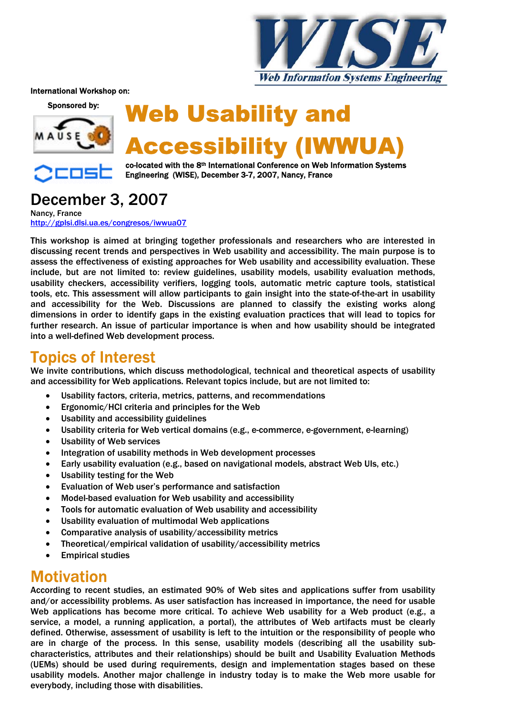

International Workshop on:







co-located with the 8<sup>th</sup> International Conference on Web Information Systems Engineering (WISE), December 3-7, 2007, Nancy, France

# December 3, 2007

Nancy, France http://gplsi.dlsi.ua.es/congresos/iwwua07

This workshop is aimed at bringing together professionals and researchers who are interested in discussing recent trends and perspectives in Web usability and accessibility. The main purpose is to assess the effectiveness of existing approaches for Web usability and accessibility evaluation. These include, but are not limited to: review guidelines, usability models, usability evaluation methods, usability checkers, accessibility verifiers, logging tools, automatic metric capture tools, statistical tools, etc. This assessment will allow participants to gain insight into the state-of-the-art in usability and accessibility for the Web. Discussions are planned to classify the existing works along dimensions in order to identify gaps in the existing evaluation practices that will lead to topics for further research. An issue of particular importance is when and how usability should be integrated into a well-defined Web development process.

#### Topics of Interest

We invite contributions, which discuss methodological, technical and theoretical aspects of usability and accessibility for Web applications. Relevant topics include, but are not limited to:

- Usability factors, criteria, metrics, patterns, and recommendations
- Ergonomic/HCI criteria and principles for the Web
- Usability and accessibility guidelines
- Usability criteria for Web vertical domains (e.g., e-commerce, e-government, e-learning)
- Usability of Web services
- Integration of usability methods in Web development processes
- Early usability evaluation (e.g., based on navigational models, abstract Web UIs, etc.)
- Usability testing for the Web
- Evaluation of Web user's performance and satisfaction
- Model-based evaluation for Web usability and accessibility
- Tools for automatic evaluation of Web usability and accessibility
- Usability evaluation of multimodal Web applications
- Comparative analysis of usability/accessibility metrics
- Theoretical/empirical validation of usability/accessibility metrics
- **Empirical studies**

#### **Motivation**

According to recent studies, an estimated 90% of Web sites and applications suffer from usability and/or accessibility problems. As user satisfaction has increased in importance, the need for usable Web applications has become more critical. To achieve Web usability for a Web product (e.g., a service, a model, a running application, a portal), the attributes of Web artifacts must be clearly defined. Otherwise, assessment of usability is left to the intuition or the responsibility of people who are in charge of the process. In this sense, usability models (describing all the usability subcharacteristics, attributes and their relationships) should be built and Usability Evaluation Methods (UEMs) should be used during requirements, design and implementation stages based on these usability models. Another major challenge in industry today is to make the Web more usable for everybody, including those with disabilities.